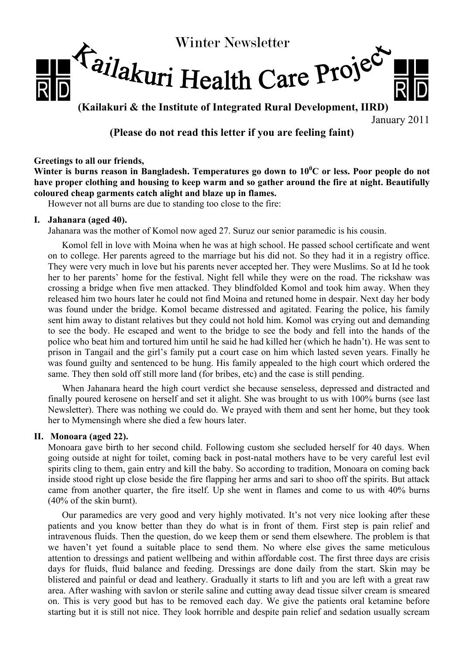

**(Kailakuri & the Institute of Integrated Rural Development, IIRD)**

January 2011

# **(Please do not read this letter if you are feeling faint)**

## **Greetings to all our friends,**

Winter is burns reason in Bangladesh. Temperatures go down to  $10^{0}$ C or less. Poor people do not **have proper clothing and housing to keep warm and so gather around the fire at night. Beautifully coloured cheap garments catch alight and blaze up in flames.** 

However not all burns are due to standing too close to the fire:

## **I. Jahanara (aged 40).**

Jahanara was the mother of Komol now aged 27. Suruz our senior paramedic is his cousin.

Komol fell in love with Moina when he was at high school. He passed school certificate and went on to college. Her parents agreed to the marriage but his did not. So they had it in a registry office. They were very much in love but his parents never accepted her. They were Muslims. So at Id he took her to her parents' home for the festival. Night fell while they were on the road. The rickshaw was crossing a bridge when five men attacked. They blindfolded Komol and took him away. When they released him two hours later he could not find Moina and retuned home in despair. Next day her body was found under the bridge. Komol became distressed and agitated. Fearing the police, his family sent him away to distant relatives but they could not hold him. Komol was crying out and demanding to see the body. He escaped and went to the bridge to see the body and fell into the hands of the police who beat him and tortured him until he said he had killed her (which he hadn't). He was sent to prison in Tangail and the girl's family put a court case on him which lasted seven years. Finally he was found guilty and sentenced to be hung. His family appealed to the high court which ordered the same. They then sold off still more land (for bribes, etc) and the case is still pending.

When Jahanara heard the high court verdict she because senseless, depressed and distracted and finally poured kerosene on herself and set it alight. She was brought to us with 100% burns (see last Newsletter). There was nothing we could do. We prayed with them and sent her home, but they took her to Mymensingh where she died a few hours later.

## **II. Monoara (aged 22).**

Monoara gave birth to her second child. Following custom she secluded herself for 40 days. When going outside at night for toilet, coming back in post-natal mothers have to be very careful lest evil spirits cling to them, gain entry and kill the baby. So according to tradition, Monoara on coming back inside stood right up close beside the fire flapping her arms and sari to shoo off the spirits. But attack came from another quarter, the fire itself. Up she went in flames and come to us with 40% burns (40% of the skin burnt).

Our paramedics are very good and very highly motivated. It's not very nice looking after these patients and you know better than they do what is in front of them. First step is pain relief and intravenous fluids. Then the question, do we keep them or send them elsewhere. The problem is that we haven't yet found a suitable place to send them. No where else gives the same meticulous attention to dressings and patient wellbeing and within affordable cost. The first three days are crisis days for fluids, fluid balance and feeding. Dressings are done daily from the start. Skin may be blistered and painful or dead and leathery. Gradually it starts to lift and you are left with a great raw area. After washing with savlon or sterile saline and cutting away dead tissue silver cream is smeared on. This is very good but has to be removed each day. We give the patients oral ketamine before starting but it is still not nice. They look horrible and despite pain relief and sedation usually scream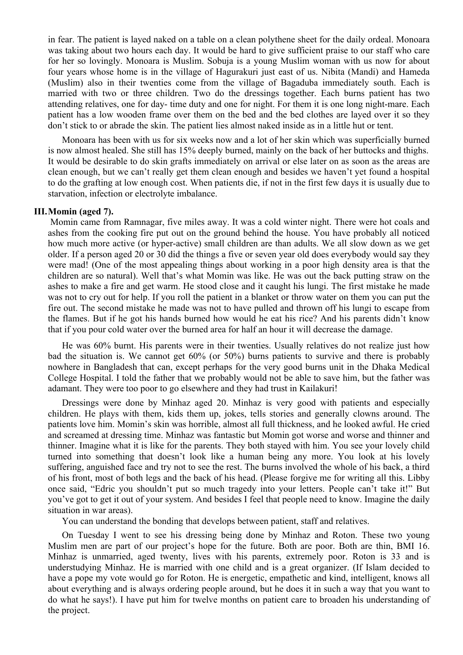in fear. The patient is layed naked on a table on a clean polythene sheet for the daily ordeal. Monoara was taking about two hours each day. It would be hard to give sufficient praise to our staff who care for her so lovingly. Monoara is Muslim. Sobuja is a young Muslim woman with us now for about four years whose home is in the village of Hagurakuri just east of us. Nibita (Mandi) and Hameda (Muslim) also in their twenties come from the village of Bagaduba immediately south. Each is married with two or three children. Two do the dressings together. Each burns patient has two attending relatives, one for day- time duty and one for night. For them it is one long night-mare. Each patient has a low wooden frame over them on the bed and the bed clothes are layed over it so they don't stick to or abrade the skin. The patient lies almost naked inside as in a little hut or tent.

Monoara has been with us for six weeks now and a lot of her skin which was superficially burned is now almost healed. She still has 15% deeply burned, mainly on the back of her buttocks and thighs. It would be desirable to do skin grafts immediately on arrival or else later on as soon as the areas are clean enough, but we can't really get them clean enough and besides we haven't yet found a hospital to do the grafting at low enough cost. When patients die, if not in the first few days it is usually due to starvation, infection or electrolyte imbalance.

#### **III.Momin (aged 7).**

Momin came from Ramnagar, five miles away. It was a cold winter night. There were hot coals and ashes from the cooking fire put out on the ground behind the house. You have probably all noticed how much more active (or hyper-active) small children are than adults. We all slow down as we get older. If a person aged 20 or 30 did the things a five or seven year old does everybody would say they were mad! (One of the most appealing things about working in a poor high density area is that the children are so natural). Well that's what Momin was like. He was out the back putting straw on the ashes to make a fire and get warm. He stood close and it caught his lungi. The first mistake he made was not to cry out for help. If you roll the patient in a blanket or throw water on them you can put the fire out. The second mistake he made was not to have pulled and thrown off his lungi to escape from the flames. But if he got his hands burned how would he eat his rice? And his parents didn't know that if you pour cold water over the burned area for half an hour it will decrease the damage.

He was 60% burnt. His parents were in their twenties. Usually relatives do not realize just how bad the situation is. We cannot get 60% (or 50%) burns patients to survive and there is probably nowhere in Bangladesh that can, except perhaps for the very good burns unit in the Dhaka Medical College Hospital. I told the father that we probably would not be able to save him, but the father was adamant. They were too poor to go elsewhere and they had trust in Kailakuri!

Dressings were done by Minhaz aged 20. Minhaz is very good with patients and especially children. He plays with them, kids them up, jokes, tells stories and generally clowns around. The patients love him. Momin's skin was horrible, almost all full thickness, and he looked awful. He cried and screamed at dressing time. Minhaz was fantastic but Momin got worse and worse and thinner and thinner. Imagine what it is like for the parents. They both stayed with him. You see your lovely child turned into something that doesn't look like a human being any more. You look at his lovely suffering, anguished face and try not to see the rest. The burns involved the whole of his back, a third of his front, most of both legs and the back of his head. (Please forgive me for writing all this. Libby once said, "Edric you shouldn't put so much tragedy into your letters. People can't take it!" But you've got to get it out of your system. And besides I feel that people need to know. Imagine the daily situation in war areas).

You can understand the bonding that develops between patient, staff and relatives.

On Tuesday I went to see his dressing being done by Minhaz and Roton. These two young Muslim men are part of our project's hope for the future. Both are poor. Both are thin, BMI 16. Minhaz is unmarried, aged twenty, lives with his parents, extremely poor. Roton is 33 and is understudying Minhaz. He is married with one child and is a great organizer. (If Islam decided to have a pope my vote would go for Roton. He is energetic, empathetic and kind, intelligent, knows all about everything and is always ordering people around, but he does it in such a way that you want to do what he says!). I have put him for twelve months on patient care to broaden his understanding of the project.